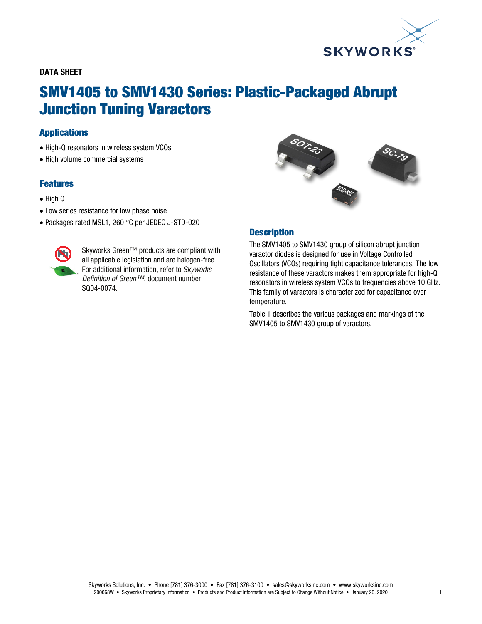

## DATA SHEET

# SMV1405 to SMV1430 Series: Plastic-Packaged Abrupt Junction Tuning Varactors

## Applications

- High-Q resonators in wireless system VCOs
- High volume commercial systems

# Features

- High Q
- Low series resistance for low phase noise
- Packages rated MSL1, 260 °C per JEDEC J-STD-020



Skyworks Green™ products are compliant with all applicable legislation and are halogen-free. For additional information, refer to Skyworks Definition of Green™, document number SQ04-0074.



# **Description**

The SMV1405 to SMV1430 group of silicon abrupt junction varactor diodes is designed for use in Voltage Controlled Oscillators (VCOs) requiring tight capacitance tolerances. The low resistance of these varactors makes them appropriate for high-Q resonators in wireless system VCOs to frequencies above 10 GHz. This family of varactors is characterized for capacitance over temperature.

Table 1 describes the various packages and markings of the SMV1405 to SMV1430 group of varactors.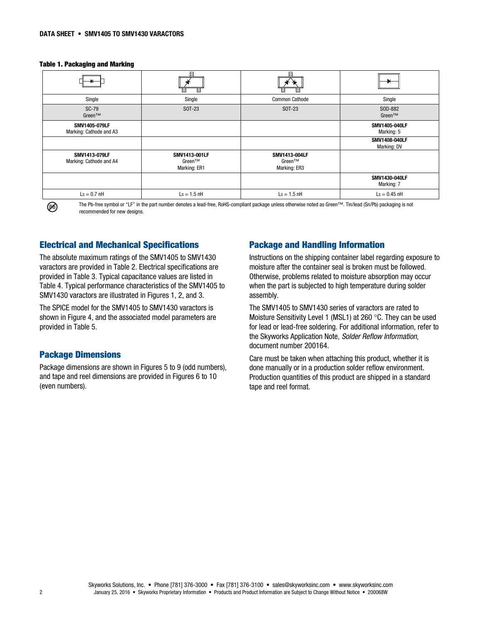#### Table 1. Packaging and Marking

|                                          | 日<br>E<br>日                             | A<br>⊟<br>Ħ                             |                              |
|------------------------------------------|-----------------------------------------|-----------------------------------------|------------------------------|
| Single                                   | Single                                  | <b>Common Cathode</b>                   | Single                       |
| <b>SC-79</b><br>Green™                   | SOT-23                                  | SOT-23                                  | SOD-882<br>Green™            |
| SMV1405-079LF<br>Marking: Cathode and A3 |                                         |                                         | SMV1405-040LF<br>Marking: 5  |
|                                          |                                         |                                         | SMV1408-040LF<br>Marking: DV |
| SMV1413-079LF<br>Marking: Cathode and A4 | SMV1413-001LF<br>Green™<br>Marking: ER1 | SMV1413-004LF<br>Green™<br>Marking: ER3 |                              |
|                                          |                                         |                                         | SMV1430-040LF<br>Marking: 7  |
| $\text{Ls} = 0.7 \text{ nH}$             | $Ls = 1.5$ nH                           | $\text{Ls} = 1.5 \text{ nH}$            | $Ls = 0.45$ nH               |

The Pb-free symbol or "LF" in the part number denotes a lead-free, RoHS-compliant package unless otherwise noted as Green™. Tin/lead (Sn/Pb) packaging is not recommended for new designs.

## Electrical and Mechanical Specifications

The absolute maximum ratings of the SMV1405 to SMV1430 varactors are provided in Table 2. Electrical specifications are provided in Table 3. Typical capacitance values are listed in Table 4. Typical performance characteristics of the SMV1405 to SMV1430 varactors are illustrated in Figures 1, 2, and 3.

The SPICE model for the SMV1405 to SMV1430 varactors is shown in Figure 4, and the associated model parameters are provided in Table 5.

## Package Dimensions

இ

Package dimensions are shown in Figures 5 to 9 (odd numbers), and tape and reel dimensions are provided in Figures 6 to 10 (even numbers).

## Package and Handling Information

Instructions on the shipping container label regarding exposure to moisture after the container seal is broken must be followed. Otherwise, problems related to moisture absorption may occur when the part is subjected to high temperature during solder assembly.

The SMV1405 to SMV1430 series of varactors are rated to Moisture Sensitivity Level 1 (MSL1) at 260  $\degree$ C. They can be used for lead or lead-free soldering. For additional information, refer to the Skyworks Application Note, Solder Reflow Information, document number 200164.

Care must be taken when attaching this product, whether it is done manually or in a production solder reflow environment. Production quantities of this product are shipped in a standard tape and reel format.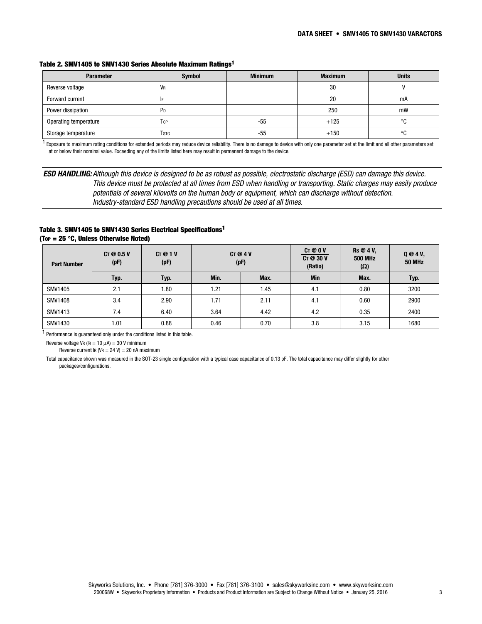### Table 2. SMV1405 to SMV1430 Series Absolute Maximum Ratings1

| <b>Parameter</b>      | <b>Symbol</b>         | <b>Minimum</b> | <b>Maximum</b> | <b>Units</b> |
|-----------------------|-----------------------|----------------|----------------|--------------|
| Reverse voltage       | <b>V</b> <sub>R</sub> |                | 30             |              |
| Forward current       |                       |                | 20             | mA           |
| Power dissipation     | P <sub>D</sub>        |                | 250            | mW           |
| Operating temperature | Top                   | -55            | $+125$         | ∘c           |
| Storage temperature   | <b>T</b> stg          | -55            | $+150$         | ∘c           |

 $1$  Exposure to maximum rating conditions for extended periods may reduce device reliability. There is no damage to device with only one parameter set at the limit and all other parameters set at or below their nominal value. Exceeding any of the limits listed here may result in permanent damage to the device.

ESD HANDLING: Although this device is designed to be as robust as possible, electrostatic discharge (ESD) can damage this device. This device must be protected at all times from ESD when handling or transporting. Static charges may easily produce potentials of several kilovolts on the human body or equipment, which can discharge without detection. Industry-standard ESD handling precautions should be used at all times.

## Table 3. SMV1405 to SMV1430 Series Electrical Specifications<sup>1</sup> (Top = 25  $\degree$ C, Unless Otherwise Noted)

| <b>Part Number</b> | CT@0.5V<br>(pF) | CT@1V<br>(pF) | C T @ 4 V<br>(pF) |      | C T @ 0 V<br>CT @ 30 V<br>(Ratio) | Rs @ 4 V,<br><b>500 MHz</b><br>$(\Omega)$ | $Q \otimes 4V$<br><b>50 MHz</b> |
|--------------------|-----------------|---------------|-------------------|------|-----------------------------------|-------------------------------------------|---------------------------------|
|                    | Typ.            | Typ.          | Min.              | Max. | <b>Min</b>                        | Max.                                      | Typ.                            |
| SMV1405            | 2.1             | 1.80          | 1.21              | 1.45 | 4.1                               | 0.80                                      | 3200                            |
| <b>SMV1408</b>     | 3.4             | 2.90          | 1.71              | 2.11 | 4.1                               | 0.60                                      | 2900                            |
| SMV1413            | 7.4             | 6.40          | 3.64              | 4.42 | 4.2                               | 0.35                                      | 2400                            |
| SMV1430            | 1.01            | 0.88          | 0.46              | 0.70 | 3.8                               | 3.15                                      | 1680                            |

1 Performance is guaranteed only under the conditions listed in this table.

Reverse voltage VR ( $IR = 10 \mu A$ ) = 30 V minimum

Reverse current IR ( $V = 24$  V) = 20 nA maximum

 Total capacitance shown was measured in the SOT-23 single configuration with a typical case capacitance of 0.13 pF. The total capacitance may differ slightly for other packages/configurations.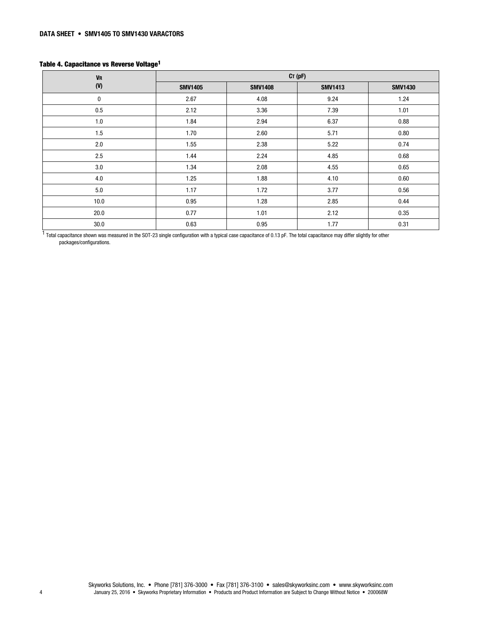## Table 4. Capacitance vs Reverse Voltage<sup>1</sup>

| <b>VR</b> | CT (pF)        |                |                |                |  |
|-----------|----------------|----------------|----------------|----------------|--|
| (V)       | <b>SMV1405</b> | <b>SMV1408</b> | <b>SMV1413</b> | <b>SMV1430</b> |  |
| $\pmb{0}$ | 2.67           | 4.08           | 9.24           | 1.24           |  |
| 0.5       | 2.12           | 3.36           | 7.39           | 1.01           |  |
| 1.0       | 1.84           | 2.94           | 6.37           | 0.88           |  |
| 1.5       | 1.70           | 2.60           | 5.71           | 0.80           |  |
| 2.0       | 1.55           | 2.38           | 5.22           | 0.74           |  |
| 2.5       | 1.44           | 2.24           | 4.85           | 0.68           |  |
| 3.0       | 1.34           | 2.08           | 4.55           | 0.65           |  |
| 4.0       | 1.25           | 1.88           | 4.10           | 0.60           |  |
| 5.0       | 1.17           | 1.72           | 3.77           | 0.56           |  |
| 10.0      | 0.95           | 1.28           | 2.85           | 0.44           |  |
| 20.0      | 0.77           | 1.01           | 2.12           | 0.35           |  |
| 30.0      | 0.63           | 0.95           | 1.77           | 0.31           |  |

1 Total capacitance shown was measured in the SOT-23 single configuration with a typical case capacitance of 0.13 pF. The total capacitance may differ slightly for other packages/configurations.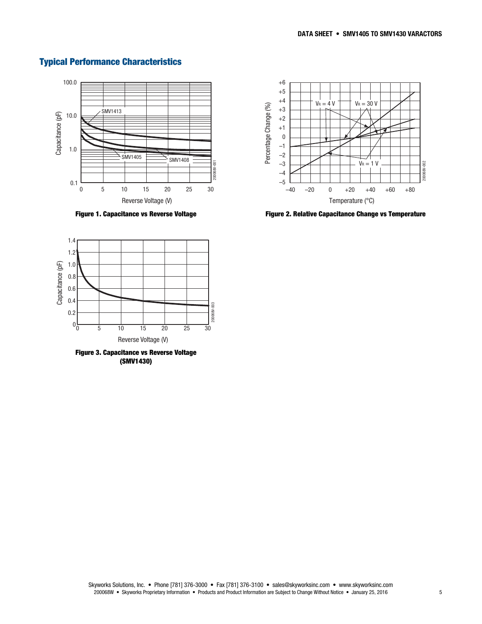# Typical Performance Characteristics



Figure 1. Capacitance vs Reverse Voltage



Figure 2. Relative Capacitance Change vs Temperature



Figure 3. Capacitance vs Reverse Voltage (SMV1430)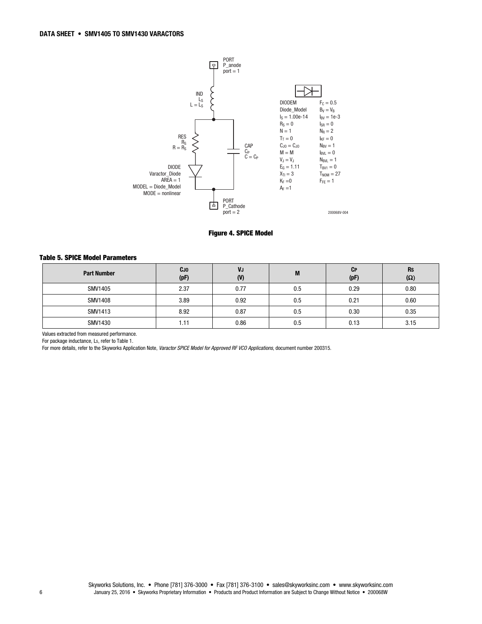

#### Figure 4. SPICE Model

## Table 5. SPICE Model Parameters

| <b>Part Number</b> | CJ <sub>0</sub><br>(pF) | VJ<br>(V) | M   | CР<br>(pF) | <b>Rs</b><br>$(\Omega)$ |
|--------------------|-------------------------|-----------|-----|------------|-------------------------|
| SMV1405            | 2.37                    | 0.77      | 0.5 | 0.29       | 0.80                    |
| <b>SMV1408</b>     | 3.89                    | 0.92      | 0.5 | 0.21       | 0.60                    |
| SMV1413            | 8.92                    | 0.87      | 0.5 | 0.30       | 0.35                    |
| SMV1430            | $1.1^{\circ}$           | 0.86      | 0.5 | 0.13       | 3.15                    |

Values extracted from measured performance.

For package inductance, LS, refer to Table 1.

For more details, refer to the Skyworks Application Note, Varactor SPICE Model for Approved RF VCO Applications, document number 200315.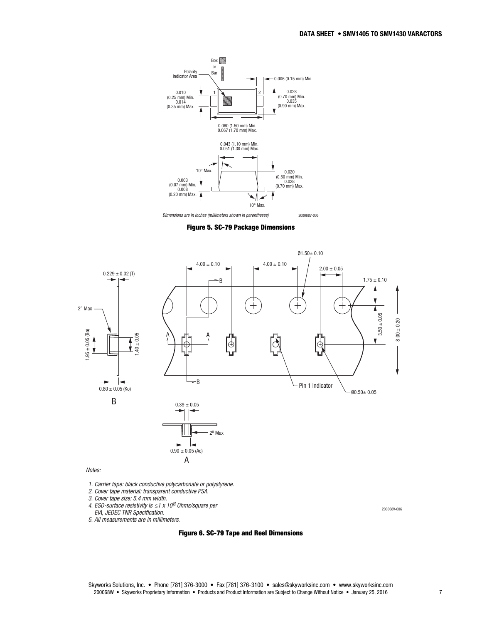

Figure 5. SC-79 Package Dimensions



- 1. Carrier tape: black conductive polycarbonate or polystyrene.
- 2. Cover tape material: transparent conductive PSA.
- 3. Cover tape size: 5.4 mm width.
- 4. ESD-surface resistivity is  $\leq$ 1 x 10<sup>8</sup> Ohms/square per
- EIA, JEDEC TNR Specification.
- 5. All measurements are in millimeters.

#### Figure 6. SC-79 Tape and Reel Dimensions

Skyworks Solutions, Inc. • Phone [781] 376-3000 • Fax [781] 376-3100 • sales@skyworksinc.com • www.skyworksinc.com 200068W • Skyworks Proprietary Information • Products and Product Information are Subject to Change Without Notice • January 25, 2016 7

200068V-006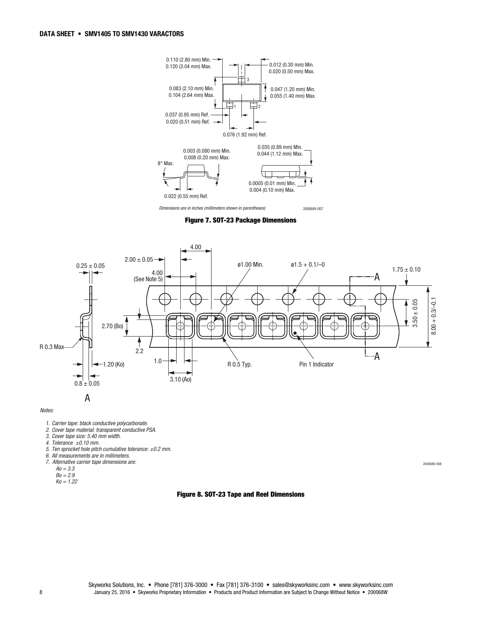

Figure 7. SOT-23 Package Dimensions



Notes:

- 1. Carrier tape: black conductive polycarbonate.
- 2. Cover tape material: transparent conductive PSA.
- 3. Cover tape size: 5.40 mm width.
- 4. Tolerance  $\pm 0.10$  mm.
- 5. Ten sprocket hole pitch cumulative tolerance:  $\pm 0.2$  mm.
- 6. All measurements are in millimeters.
- 7. Alternative carrier tape dimensions are:
	- $Ao = 3.3$
	- $Bo = 2.9$
	- $Ko = 1.22$

#### Figure 8. SOT-23 Tape and Reel Dimensions

200068V-008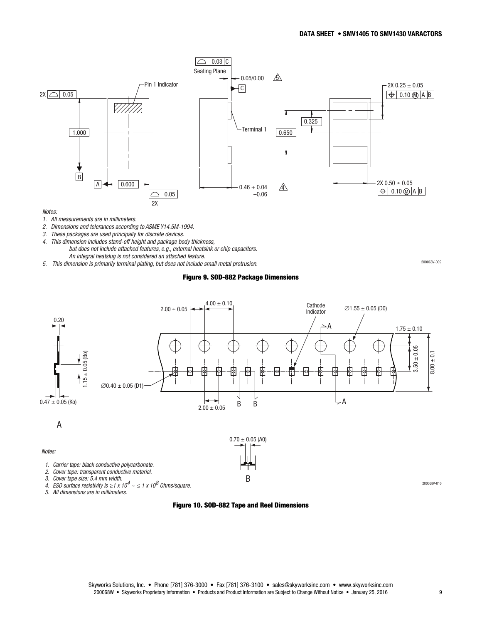

#### Notes:

- 1. All measurements are in millimeters.
- 2. Dimensions and tolerances according to ASME Y14.5M-1994.
- 3. These packages are used principally for discrete devices.
- 4. This dimension includes stand-off height and package body thickness, but does not include attached features, e.g., external heatsink or chip capacitors. An integral heatslug is not considered an attached feature.
- 5. This dimension is primarily terminal plating, but does not include small metal protrusion.

200068V-009

#### Figure 9. SOD-882 Package Dimensions



Notes:

- 1. Carrier tape: black conductive polycarbonate.
- 2. Cover tape: transparent conductive material.
- 3. Cover tape size: 5.4 mm width.
- 4. ESD surface resistivity is  $\geq 1 \times 10^4 \sim$   $\leq 1 \times 10^8$  Ohms/square.

5. All dimensions are in millimeters.



B

 $0.70 \pm 0.05$  (A0)

200068V-010